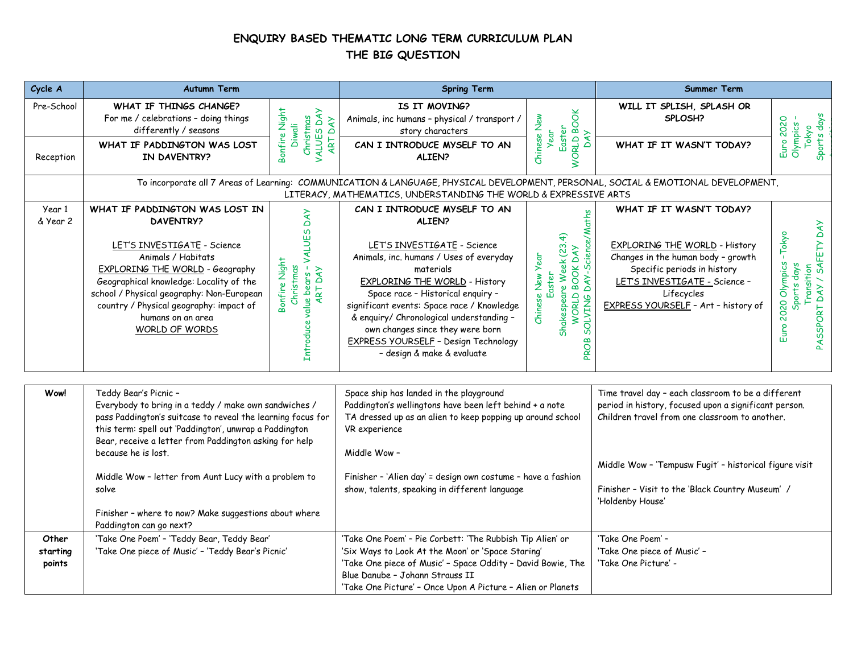## **ENQUIRY BASED THEMATIC LONG TERM CURRICULUM PLAN THE BIG QUESTION**

| Cycle A                     | <b>Autumn Term</b>                                                                                                                                                                                                                                                                                                                                                                                                                            |                                                                             | <b>Spring Term</b>                                                                                                                                                                                                                                                                                                                                                                                                    |                                                                                                                              | Summer Term                                                                                                                                                                                                                                                                                     |                                                                                          |
|-----------------------------|-----------------------------------------------------------------------------------------------------------------------------------------------------------------------------------------------------------------------------------------------------------------------------------------------------------------------------------------------------------------------------------------------------------------------------------------------|-----------------------------------------------------------------------------|-----------------------------------------------------------------------------------------------------------------------------------------------------------------------------------------------------------------------------------------------------------------------------------------------------------------------------------------------------------------------------------------------------------------------|------------------------------------------------------------------------------------------------------------------------------|-------------------------------------------------------------------------------------------------------------------------------------------------------------------------------------------------------------------------------------------------------------------------------------------------|------------------------------------------------------------------------------------------|
| Pre-School<br>Reception     | WHAT IF THINGS CHANGE?<br>For me / celebrations - doing things<br>differently / seasons<br>WHAT IF PADDINGTON WAS LOST<br>IN DAVENTRY?                                                                                                                                                                                                                                                                                                        | Bonfire Night<br>Christmas<br>VALUES DAY<br>ART DAY<br><b>Diwali</b>        | IS IT MOVING?<br>Animals, inc humans - physical / transport /<br>story characters<br>CAN I INTRODUCE MYSELF TO AN<br>ALIEN?                                                                                                                                                                                                                                                                                           | <b>WORLD BOOK</b><br>Chinese New<br>Easter<br>Year<br>DAY                                                                    | WILL IT SPLISH, SPLASH OR<br>SPLOSH?<br>WHAT IF IT WASN'T TODAY?                                                                                                                                                                                                                                | Sports days<br>Euro 2020<br>Olympics-<br>Tokyo                                           |
|                             |                                                                                                                                                                                                                                                                                                                                                                                                                                               |                                                                             | To incorporate all 7 Areas of Learning: COMMUNICATION & LANGUAGE, PHYSICAL DEVELOPMENT, PERSONAL, SOCIAL & EMOTIONAL DEVELOPMENT,<br>LITERACY, MATHEMATICS, UNDERSTANDING THE WORLD & EXPRESSIVE ARTS                                                                                                                                                                                                                 |                                                                                                                              |                                                                                                                                                                                                                                                                                                 |                                                                                          |
| Year 1<br>& Year 2          | WHAT IF PADDINGTON WAS LOST IN<br><b>DAVENTRY?</b><br>LET'S INVESTIGATE - Science<br>Animals / Habitats<br><b>EXPLORING THE WORLD - Geography</b><br>Geographical knowledge: Locality of the<br>school / Physical geography: Non-European<br>country / Physical geography: impact of<br>humans on an area<br>WORLD OF WORDS                                                                                                                   | Introduce value bears - VALUES DAY<br>ART DAY<br>Bonfire Night<br>Christmas | CAN I INTRODUCE MYSELF TO AN<br>ALIEN?<br>LET'S INVESTIGATE - Science<br>Animals, inc. humans / Uses of everyday<br>materials<br><b>EXPLORING THE WORLD - History</b><br>Space race - Historical enquiry -<br>significant events: Space race / Knowledge<br>& enquiry/ Chronological understanding -<br>own changes since they were born<br><b>EXPRESS YOURSELF - Design Technology</b><br>- design & make & evaluate | DAY-Science/Maths<br>Shakespeare Week (23.4)<br>WORLD BOOK DAY<br>Chinese New Year<br>Easter<br><b>SOLVING</b><br><b>DAG</b> | WHAT IF IT WASN'T TODAY?<br>EXPLORING THE WORLD - History<br>Changes in the human body - growth<br>Specific periods in history<br>LET'S INVESTIGATE - Science -<br>Lifecycles<br>EXPRESS YOURSELF - Art - history of                                                                            | PASSPORT DAY / SAFETY DAY<br>$-Tokyo$<br>Euro 2020 Olympics<br>Sports days<br>Transition |
| Wow!                        | Teddy Bear's Picnic -<br>Everybody to bring in a teddy / make own sandwiches /<br>pass Paddington's suitcase to reveal the learning focus for<br>this term: spell out 'Paddington', unwrap a Paddington<br>Bear, receive a letter from Paddington asking for help<br>because he is lost.<br>Middle Wow - letter from Aunt Lucy with a problem to<br>solve<br>Finisher - where to now? Make suggestions about where<br>Paddington can go next? |                                                                             | Space ship has landed in the playground<br>Paddington's wellingtons have been left behind + a note<br>TA dressed up as an alien to keep popping up around school<br>VR experience<br>Middle Wow -<br>Finisher - 'Alien day' = design own costume - have a fashion<br>show, talents, speaking in different language                                                                                                    |                                                                                                                              | Time travel day - each classroom to be a different<br>period in history, focused upon a significant person.<br>Children travel from one classroom to another.<br>Middle Wow - 'Tempusw Fugit' - historical figure visit<br>Finisher - Visit to the 'Black Country Museum' /<br>'Holdenby House' |                                                                                          |
| Other<br>starting<br>points | 'Take One Poem' - 'Teddy Bear, Teddy Bear'<br>'Take One piece of Music' - 'Teddy Bear's Picnic'                                                                                                                                                                                                                                                                                                                                               |                                                                             | 'Take One Poem' - Pie Corbett: 'The Rubbish Tip Alien' or<br>'Six Ways to Look At the Moon' or 'Space Staring'<br>'Take One piece of Music' - Space Oddity - David Bowie, The<br>Blue Danube - Johann Strauss II<br>'Take One Picture' - Once Upon A Picture - Alien or Planets                                                                                                                                       |                                                                                                                              | 'Take One Poem' -<br>'Take One piece of Music' -<br>'Take One Picture' -                                                                                                                                                                                                                        |                                                                                          |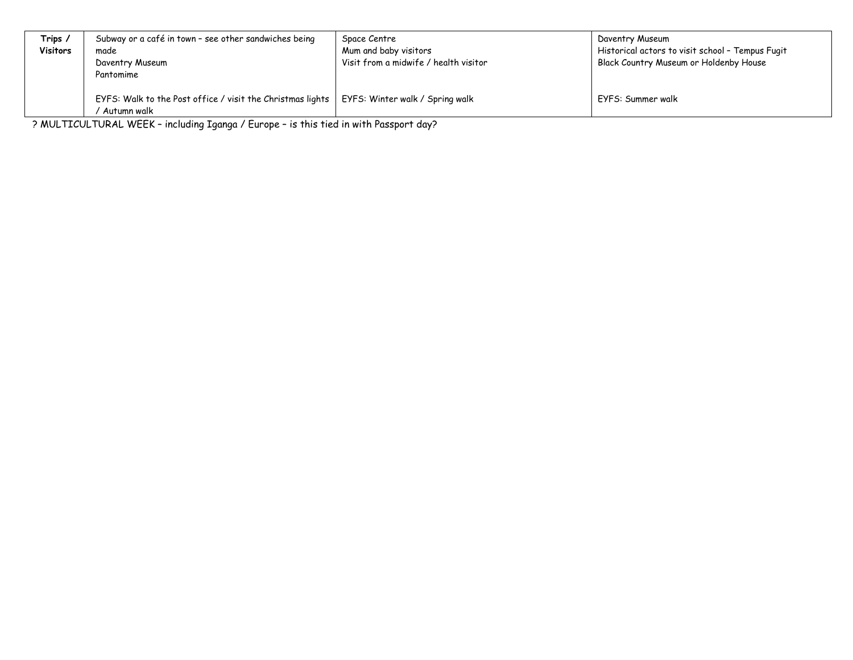| Trips /         | Subway or a café in town - see other sandwiches being      | Space Centre                          | Daventry Museum                                  |
|-----------------|------------------------------------------------------------|---------------------------------------|--------------------------------------------------|
| <b>Visitors</b> | made                                                       | Mum and baby visitors                 | Historical actors to visit school - Tempus Fugit |
|                 | Daventry Museum                                            | Visit from a midwife / health visitor | Black Country Museum or Holdenby House           |
|                 | Pantomime                                                  |                                       |                                                  |
|                 |                                                            |                                       |                                                  |
|                 | EYFS: Walk to the Post office / visit the Christmas lights | EYFS: Winter walk / Spring walk       | EYFS: Summer walk                                |
|                 | Autumn walk                                                |                                       |                                                  |

? MULTICULTURAL WEEK – including Iganga / Europe – is this tied in with Passport day?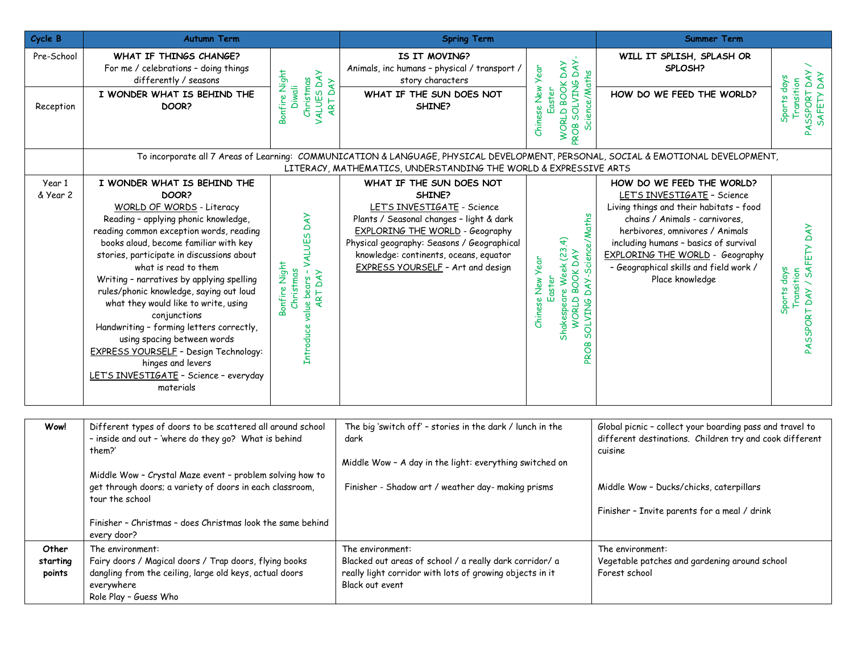| Cycle B                     | <b>Autumn Term</b>                                                                                                                                                                                                                                                                                                                                                                                                                                                                                                                                                                                                                         |                                                                                | <b>Spring Term</b>                                                                                                                                                                                                                                                                   |                                                                                                                                   | <b>Summer Term</b>                                                                                                                                                                                                                                                                                                       |                                                        |
|-----------------------------|--------------------------------------------------------------------------------------------------------------------------------------------------------------------------------------------------------------------------------------------------------------------------------------------------------------------------------------------------------------------------------------------------------------------------------------------------------------------------------------------------------------------------------------------------------------------------------------------------------------------------------------------|--------------------------------------------------------------------------------|--------------------------------------------------------------------------------------------------------------------------------------------------------------------------------------------------------------------------------------------------------------------------------------|-----------------------------------------------------------------------------------------------------------------------------------|--------------------------------------------------------------------------------------------------------------------------------------------------------------------------------------------------------------------------------------------------------------------------------------------------------------------------|--------------------------------------------------------|
| Pre-School<br>Reception     | WHAT IF THINGS CHANGE?<br>For me / celebrations - doing things<br>Bonfire Night<br>differently / seasons<br>I WONDER WHAT IS BEHIND THE<br>DOOR?                                                                                                                                                                                                                                                                                                                                                                                                                                                                                           | VALUES DAY<br>ART DAY<br>Christmas<br><b>Diwali</b>                            | IS IT MOVING?<br>Animals, inc humans - physical / transport /<br>story characters<br>WHAT IF THE SUN DOES NOT<br>SHINE?                                                                                                                                                              | DAY.<br>WORLD BOOK DAY<br>Chinese New Year<br>Science/Maths<br>PROB SOLVING<br>Easter                                             | WILL IT SPLISH, SPLASH OR<br>SPLOSH?<br>HOW DO WE FEED THE WORLD?                                                                                                                                                                                                                                                        | PASSPORT DAY<br>Sports days<br>Transition              |
|                             |                                                                                                                                                                                                                                                                                                                                                                                                                                                                                                                                                                                                                                            |                                                                                | To incorporate all 7 Areas of Learning: COMMUNICATION & LANGUAGE, PHYSICAL DEVELOPMENT, PERSONAL, SOCIAL & EMOTIONAL DEVELOPMENT,<br>LITERACY, MATHEMATICS, UNDERSTANDING THE WORLD & EXPRESSIVE ARTS                                                                                |                                                                                                                                   |                                                                                                                                                                                                                                                                                                                          |                                                        |
| Year 1<br>& Year 2          | I WONDER WHAT IS BEHIND THE<br>DOOR?<br>WORLD OF WORDS - Literacy<br>Reading - applying phonic knowledge,<br>reading common exception words, reading<br>books aloud, become familiar with key<br>stories, participate in discussions about<br>Bonfire Night<br>what is read to them<br>Writing - narratives by applying spelling<br>rules/phonic knowledge, saying out loud<br>what they would like to write, using<br>conjunctions<br>Handwriting - forming letters correctly,<br>using spacing between words<br><b>EXPRESS YOURSELF - Design Technology:</b><br>hinges and levers<br>LET'S INVESTIGATE - Science - everyday<br>materials | - VALUES DAY<br>Christmas<br><b>ART DAY</b><br>value bears<br><b>Introduce</b> | WHAT IF THE SUN DOES NOT<br>SHINE?<br>LET'S INVESTIGATE - Science<br>Plants / Seasonal changes - light & dark<br><b>EXPLORING THE WORLD - Geography</b><br>Physical geography: Seasons / Geographical<br>knowledge: continents, oceans, equator<br>EXPRESS YOURSELF - Art and design | DAY-Science/Maths<br>Shakespeare Week (23.4)<br>WORLD BOOK DAY<br>Chinese New Year<br>Easter<br><b>SOLVING</b><br>$\infty$<br>Dda | HOW DO WE FEED THE WORLD?<br>LET'S INVESTIGATE - Science<br>Living things and their habitats - food<br>chains / Animals - carnivores,<br>herbivores, omnivores / Animals<br>including humans - basics of survival<br><b>EXPLORING THE WORLD - Geography</b><br>- Geographical skills and field work /<br>Place knowledge | PASSPORT DAY / SAFETY DAY<br>Sports days<br>Transition |
| Wow!                        | Different types of doors to be scattered all around school<br>- inside and out - 'where do they go? What is behind<br>them?'<br>Middle Wow - Crystal Maze event - problem solving how to<br>get through doors; a variety of doors in each classroom,<br>tour the school<br>Finisher - Christmas - does Christmas look the same behind<br>every door?                                                                                                                                                                                                                                                                                       |                                                                                | The big 'switch off' - stories in the dark / lunch in the<br>dark<br>Middle Wow - A day in the light: everything switched on<br>Finisher - Shadow art / weather day- making prisms                                                                                                   |                                                                                                                                   | Global picnic - collect your boarding pass and travel to<br>different destinations. Children try and cook different<br>cuisine<br>Middle Wow - Ducks/chicks, caterpillars<br>Finisher - Invite parents for a meal / drink                                                                                                |                                                        |
| Other<br>starting<br>points | The environment:<br>Fairy doors / Magical doors / Trap doors, flying books<br>dangling from the ceiling, large old keys, actual doors<br>everywhere<br>Role Play - Guess Who                                                                                                                                                                                                                                                                                                                                                                                                                                                               |                                                                                | The environment:<br>Blacked out areas of school / a really dark corridor/ a<br>really light corridor with lots of growing objects in it<br>Black out event                                                                                                                           |                                                                                                                                   | The environment:<br>Vegetable patches and gardening around school<br>Forest school                                                                                                                                                                                                                                       |                                                        |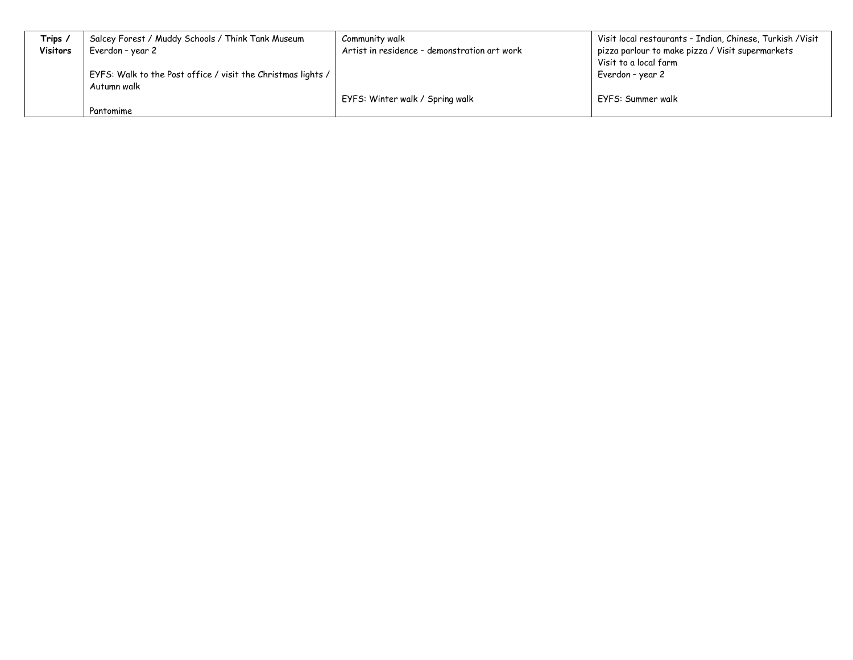| Trips,          | Salcey Forest / Muddy Schools / Think Tank Museum            | Community walk                               | Visit local restaurants - Indian, Chinese, Turkish /Visit |
|-----------------|--------------------------------------------------------------|----------------------------------------------|-----------------------------------------------------------|
| <b>Visitors</b> | Everdon - year 2                                             | Artist in residence - demonstration art work | pizza parlour to make pizza / Visit supermarkets          |
|                 |                                                              |                                              | Visit to a local farm                                     |
|                 | EYFS: Walk to the Post office / visit the Christmas lights / |                                              | Everdon – year 2                                          |
|                 | Autumn walk                                                  |                                              |                                                           |
|                 |                                                              | EYFS: Winter walk / Spring walk              | EYFS: Summer walk                                         |
|                 | Pantomime                                                    |                                              |                                                           |